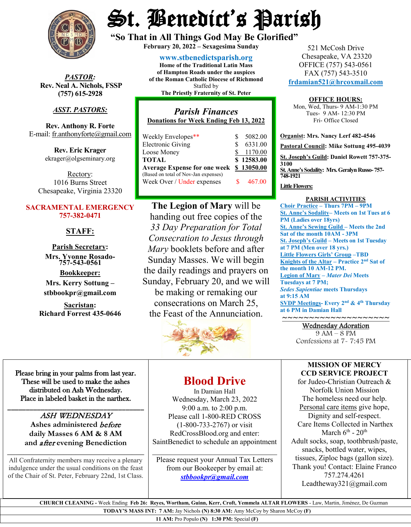

*PASTOR:* **Rev. Neal A. Nichols, FSSP (757) 615-2928** 

# *ASST. PASTORS:*

**Rev. Anthony R. Forte** E-mail[: fr.anthonyforte@gmail.com](mailto:fr.anthonyforte@gmail.com)

> **Rev. Eric Krager** ekrager@olgseminary.org

Rectory: 1016 Burns Street Chesapeake, Virginia 23320

#### **SACRAMENTAL EMERGENCY 757-382-0471**

# **STAFF:**

**Parish Secretary: Mrs. Yvonne Rosado- 757-543-0561**

**Bookkeeper: Mrs. Kerry Sottung – stbbookpr@gmail.com**

**Sacristan: Richard Forrest 435-0646**

# St. Benedict's Parish

**"So That in All Things God May Be Glorified" February 20, <sup>2022</sup> – Sexagesima Sunday**

**[www.stbenedictsparish.org](http://www.stbenedictsparish.org/) Home of the Traditional Latin Mass of Hampton Roads under the auspices of the Roman Catholic Diocese of Richmond** Staffed by **The Priestly Fraternity of St. Peter**

# *Parish Finances* **Donations for Week Ending Feb 13, 2022**

|                                     | 5082.00    |
|-------------------------------------|------------|
| S.                                  | 6331.00    |
|                                     | \$1170.00  |
|                                     | \$12583.00 |
| <b>Average Expense for one week</b> | \$13050.00 |
|                                     |            |
|                                     | 467.00     |
|                                     |            |

**The Legion of Mary** will be handing out free copies of the *33 Day Preparation for Total Consecration to Jesus through Mary* booklets before and after Sunday Masses. We will begin the daily readings and prayers on Sunday, February 20, and we will be making or remaking our consecrations on March 25, the Feast of the Annunciation.



521 McCosh Drive Chesapeake, VA 23320 OFFICE (757) 543-0561 FAX (757) 543-3510 **[frdamian521@hrcoxmail.com](mailto:frdamian521@hrcoxmail.com)**

#### **OFFICE HOURS:**

Mon, Wed, Thurs- 9 AM-1:30 PM Tues- 9 AM- 12:30 PM Fri- Office Closed

**Organist: Mrs. Nancy Lerf 482-4546 Pastoral Council: Mike Sottung 495-4039 St. Joseph's Guild: Daniel Rowett 757-375- 3100 St. Anne's Sodality: Mrs. Geralyn Russo-757- 748-1921**

#### **Little Flowers:**

#### **PARISH ACTIVITIES**

**Choir Practice – Thurs 7PM – 9PM St. Anne's Sodality– Meets on 1st Tues at 6 PM (Ladies over 18yrs) St. Anne's Sewing Guild – Meets the 2nd Sat of the month 10AM - 3PM St. Joseph's Guild – Meets on 1st Tuesday at 7 PM (Men over 18 yrs.) Little Flowers Girls' Group –TBD Knights of the Altar – Practice 2nd Sat of the month 10 AM-12 PM. Legion of Mary –** *Mater Dei* **Meets Tuesdays at 7 PM;**  *Sedes Sapientiae* **meets Thursdays at 9:15 AM SVDP Meetings- Every 2nd & 4th Thursday at 6 PM in Damian Hall**

# ~~~~~~~~~~~~~~~~~~~~ Wednesday Adoration

9 AM – 8 PM Confessions at 7- 7:45 PM

### **MISSION OF MERCY CCD SERVICE PROJECT**

for Judeo-Christian Outreach & Norfolk Union Mission The homeless need our help. Personal care items give hope, Dignity and self-respect. Care Items Collected in Narthex March  $6^{th}$  -  $20^{th}$ Adult socks, soap, toothbrush/paste, snacks, bottled water, wipes, tissues, Ziploc bags (gallon size). Thank you! Contact: Elaine Franco 757.274.4261 Leadtheway321@gmail.com

Please bring in your palms from last year. These will be used to make the ashes distributed on Ash Wednesday. Place in labeled basket in the narthex.

### \_\_\_\_\_\_\_\_\_\_\_\_\_\_\_\_\_\_\_\_\_\_\_\_\_\_\_\_\_\_\_\_\_\_\_\_\_ ASH WEDNESDAY **Ashes administered** before **daily Masses 6 AM & 8 AM and** after **evening Benediction**

All Confraternity members may receive a plenary indulgence under the usual conditions on the feast of the Chair of St. Peter, February 22nd, 1st Class.

**\_\_\_\_\_\_\_\_\_\_\_\_\_\_\_\_\_\_\_\_\_\_\_\_\_\_\_\_\_\_\_\_\_\_**

#### **Blood Drive**

In Damian Hall Wednesday, March 23, 2022 9:00 a.m. to 2:00 p.m. Please call 1-800-RED CROSS (1-800-733-2767) or visit RedCrossBlood.org and enter: SaintBenedict to schedule an appointment

Please request your Annual Tax Letters from our Bookeeper by email at: *[stbbookpr@gmail.com](mailto:stbbookpr@gmail.com)*

 $\overline{\phantom{a}}$  , and the set of the set of the set of the set of the set of the set of the set of the set of the set of the set of the set of the set of the set of the set of the set of the set of the set of the set of the s

 **CHURCH CLEANING -** Week Ending **Feb 26: Reyes, Wortham, Guinn, Kerr, Croft, Yemmela ALTAR FLOWERS** - Law, Martin, Jiménez, De Guzman **TODAY'S MASS INT: 7 AM:** Jay Nichols **(N) 8:30 AM:** Amy McCoy by Sharon McCoy **(F)** 

**11 AM:** Pro Populo **(N) 1:30 PM:** Special **(F)**